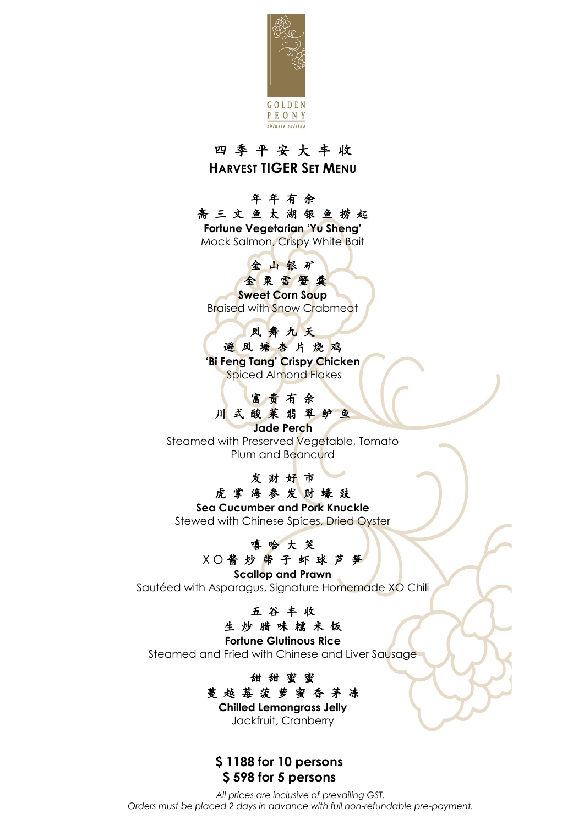

## 四 季 平 安 大 丰 收 **HARVEST TIGER SET MENU**

## 年 年 有 余

斋 三 文 鱼 太 湖 银 鱼 捞 起 **Fortune Vegetarian 'Yu Sheng'** Mock Salmon, Crispy White Bait

# 金山银矿

## 金粟雪蟹羹

**Sweet Corn Soup** Braised with Snow Crabmeat

## 凤 舞 九 天

避 风 塘 杏 片 烧 鸡 **'Bi Feng Tang' Crispy Chicken** Spiced Almond Flakes

## 富 贵 有 余 川 式 酸 菜 翡 翠 鲈 鱼

**Jade Perch**

Steamed with Preserved Vegetable, Tomato Plum and Beancurd

#### 发 财 好 市 虎掌海参发财壕豉

**Sea Cucumber and Pork Knuckle** Stewed with Chinese Spices, Dried Oyster

### 嘻 哈 大 笑 X O 酱 炒 带 子 虾 球 芦 笋

**Scallop and Prawn** Sautéed with Asparagus, Signature Homemade XO Chili

## 五 谷 丰 收

## 生 炒 腊 味 糯 米 饭

**Fortune Glutinous Rice** Steamed and Fried with Chinese and Liver Sausage

### 甜 甜 蜜 蜜 蔓 越 莓 菠 萝 蜜 香 茅 冻 **Chilled Lemongrass Jelly**

Jackfruit, Cranberry

## **\$ 1188 for 10 persons \$ 598 for 5 persons**

*All prices are inclusive of prevailing GST. Orders must be placed 2 days in advance with full non-refundable pre-payment.*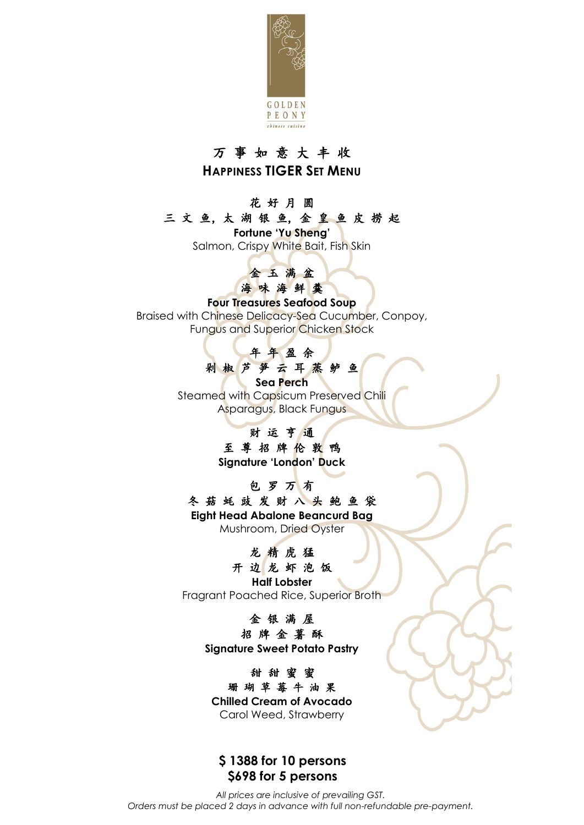

## 万 事 如 意 大 丰 收 **HAPPINESS TIGER SET MENU**

## 花 好 月 圆

#### 三 文 鱼,太 湖 银 鱼,金 皇 鱼 皮 捞 起

**Fortune 'Yu Sheng'**

Salmon, Crispy White Bait, Fish Skin



### **Four Treasures Seafood Soup**

Braised with Chinese Delicacy-Sea Cucumber, Conpoy, Fungus and Superior Chicken Stock



**Sea Perch** Steamed with Capsicum Preserved Chili Asparagus, Black Fungus

### 财 运 亨 通 至 尊 招 牌 伦 敦 鸭

**Signature 'London' Duck**

包 罗 万 有

冬 菇 蚝 豉 发 财 八 头 鲍 鱼 袋 **Eight Head Abalone Beancurd Bag** Mushroom, Dried Oyster

### 龙 精 虎 猛

开 边 龙 虾 泡 饭 **Half Lobster** Fragrant Poached Rice, Superior Broth

### 金 银 满 屋

招 牌 金 薯 酥 **Signature Sweet Potato Pastry**

甜 甜 蜜 蜜 珊 瑚 草 莓 牛 油 果 **Chilled Cream of Avocado**  Carol Weed, Strawberry

### **\$ 1388 for 10 persons \$698 for 5 persons**

*All prices are inclusive of prevailing GST. Orders must be placed 2 days in advance with full non-refundable pre-payment.*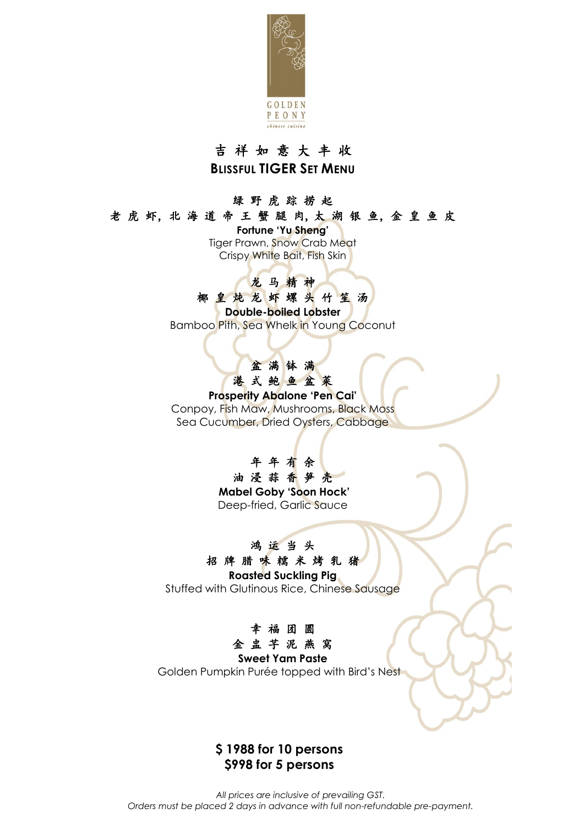

## 吉 祥 如 意 大 丰 收 **BLISSFUL TIGER SET MENU**

#### 绿 野 虎 踪 捞 起

老虎虾,北海道帝王蟹腿肉,太湖银鱼,金皇鱼皮

**Fortune 'Yu Sheng'** Tiger Prawn, Snow Crab Meat Crispy White Bait, Fish Skin

## 龙 马 精 神

### 椰 皇 炖 龙 虾 螺 头 竹 笙 汤

**Double-boiled Lobster**

Bamboo Pith, Sea Whelk in Young Coconut

## 盆满钵满 港 式 鲍 鱼 盆 菜

**Prosperity Abalone 'Pen Cai'** Conpoy, Fish Maw, Mushrooms, Black Moss

Sea Cucumber, Dried Oysters, Cabbage

年 年 有 余 油浸蒜香笋壳 **Mabel Goby 'Soon Hock'** Deep-fried, Garlic Sauce

## 鸿 运 当 头

招 牌 腊 味 糯 米 烤 乳 猪 **Roasted Suckling Pig**

Stuffed with Glutinous Rice, Chinese Sausage



#### **Sweet Yam Paste**

Golden Pumpkin Purée topped with Bird's Nest

## **\$ 1988 for 10 persons \$998 for 5 persons**

*All prices are inclusive of prevailing GST. Orders must be placed 2 days in advance with full non-refundable pre-payment.*